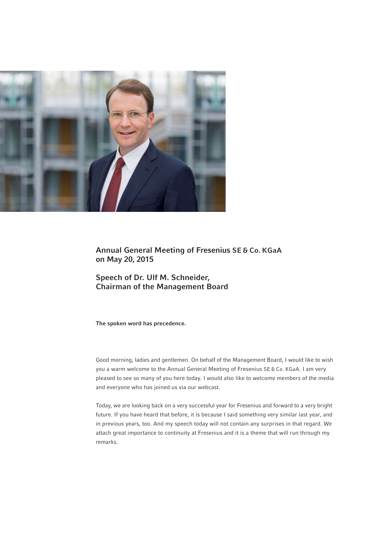

Annual General Meeting of Fresenius SE & Co. KGaA on May 20, 2015

Speech of Dr. Ulf M. Schneider, Chairman of the Management Board

The spoken word has precedence.

Good morning, ladies and gentlemen. On behalf of the Management Board, I would like to wish you a warm welcome to the Annual General Meeting of Fresenius SE & Co. KGaA. I am very pleased to see so many of you here today. I would also like to welcome members of the media and everyone who has joined us via our webcast.

Today, we are looking back on a very successful year for Fresenius and forward to a very bright future. If you have heard that before, it is because I said something very similar last year, and in previous years, too. And my speech today will not contain any surprises in that regard. We attach great importance to continuity at Fresenius and it is a theme that will run through my remarks.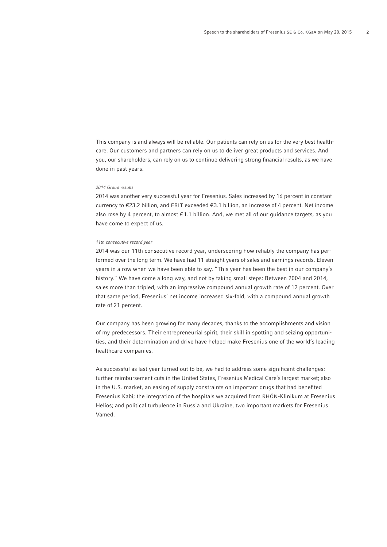This company is and always will be reliable. Our patients can rely on us for the very best healthcare. Our customers and partners can rely on us to deliver great products and services. And you, our shareholders, can rely on us to continue delivering strong financial results, as we have done in past years.

## 2014 Group results

2014 was another very successful year for Fresenius. Sales increased by 16 percent in constant currency to €23.2 billion, and EBIT exceeded € 3.1 billion, an increase of 4 percent. Net income also rose by 4 percent, to almost € 1.1 billion. And, we met all of our guidance targets, as you have come to expect of us.

#### 11th consecutive record year

2014 was our 11th consecutive record year, underscoring how reliably the company has performed over the long term. We have had 11 straight years of sales and earnings records. Eleven years in a row when we have been able to say, "This year has been the best in our company's history." We have come a long way, and not by taking small steps: Between 2004 and 2014, sales more than tripled, with an impressive compound annual growth rate of 12 percent. Over that same period, Fresenius' net income increased six-fold, with a compound annual growth rate of 21 percent.

Our company has been growing for many decades, thanks to the accomplishments and vision of my predecessors. Their entrepreneurial spirit, their skill in spotting and seizing opportunities, and their determination and drive have helped make Fresenius one of the world's leading healthcare companies.

As successful as last year turned out to be, we had to address some significant challenges: further reimbursement cuts in the United States, Fresenius Medical Care's largest market; also in the U.S. market, an easing of supply constraints on important drugs that had benefited Fresenius Kabi; the integration of the hospitals we acquired from RHÖN-Klinikum at Fresenius Helios; and political turbulence in Russia and Ukraine, two important markets for Fresenius Vamed.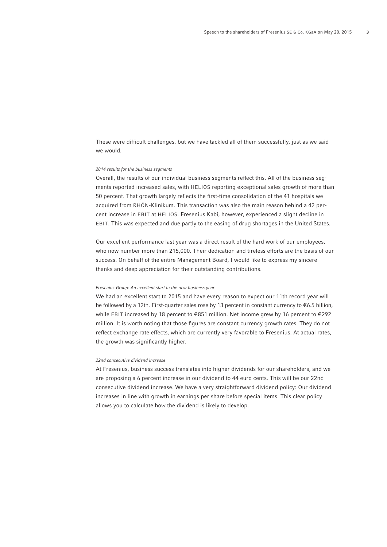These were difficult challenges, but we have tackled all of them successfully, just as we said we would.

# 2014 results for the business segments

Overall, the results of our individual business segments reflect this. All of the business segments reported increased sales, with HELIOS reporting exceptional sales growth of more than 50 percent. That growth largely reflects the first-time consolidation of the 41 hospitals we acquired from RHÖN-Klinikum. This transaction was also the main reason behind a 42 percent increase in EBIT at HELIOS. Fresenius Kabi, however, experienced a slight decline in EBIT. This was expected and due partly to the easing of drug shortages in the United States.

Our excellent performance last year was a direct result of the hard work of our employees, who now number more than 215,000. Their dedication and tireless efforts are the basis of our success. On behalf of the entire Management Board, I would like to express my sincere thanks and deep appreciation for their outstanding contributions.

### Fresenius Group: An excellent start to the new business year

We had an excellent start to 2015 and have every reason to expect our 11th record year will be followed by a 12th. First-quarter sales rose by 13 percent in constant currency to € 6.5 billion, while EBIT increased by 18 percent to  $\epsilon$ 851 million. Net income grew by 16 percent to  $\epsilon$ 292 million. It is worth noting that those figures are constant currency growth rates. They do not reflect exchange rate effects, which are currently very favorable to Fresenius. At actual rates, the growth was significantly higher.

### 22nd consecutive dividend increase

At Fresenius, business success translates into higher dividends for our shareholders, and we are proposing a 6 percent increase in our dividend to 44 euro cents. This will be our 22nd consecutive dividend increase. We have a very straightforward dividend policy: Our dividend increases in line with growth in earnings per share before special items. This clear policy allows you to calculate how the dividend is likely to develop.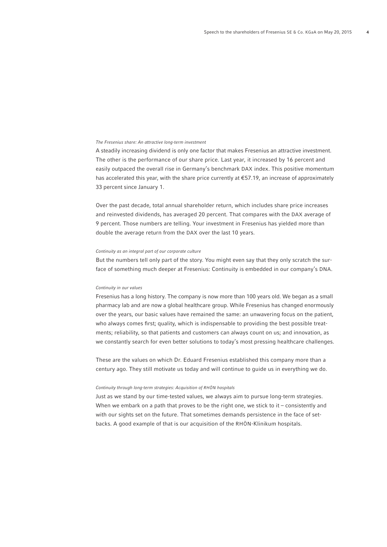# The Fresenius share: An attractive long-term investment

A steadily increasing dividend is only one factor that makes Fresenius an attractive investment. The other is the performance of our share price. Last year, it increased by 16 percent and easily outpaced the overall rise in Germany's benchmark DAX index. This positive momentum has accelerated this year, with the share price currently at  $\epsilon$ 57.19, an increase of approximately 33 percent since January 1.

Over the past decade, total annual shareholder return, which includes share price increases and reinvested dividends, has averaged 20 percent. That compares with the DAX average of 9 percent. Those numbers are telling. Your investment in Fresenius has yielded more than double the average return from the DAX over the last 10 years.

# Continuity as an integral part of our corporate culture

But the numbers tell only part of the story. You might even say that they only scratch the surface of something much deeper at Fresenius: Continuity is embedded in our company's DNA.

## Continuity in our values

Fresenius has a long history. The company is now more than 100 years old. We began as a small pharmacy lab and are now a global healthcare group. While Fresenius has changed enormously over the years, our basic values have remained the same: an unwavering focus on the patient, who always comes first; quality, which is indispensable to providing the best possible treatments; reliability, so that patients and customers can always count on us; and innovation, as we constantly search for even better solutions to today's most pressing healthcare challenges.

These are the values on which Dr. Eduard Fresenius established this company more than a century ago. They still motivate us today and will continue to guide us in everything we do.

# Continuity through long-term strategies: Acquisition of RHÖN hospitals

Just as we stand by our time-tested values, we always aim to pursue long-term strategies. When we embark on a path that proves to be the right one, we stick to it – consistently and with our sights set on the future. That sometimes demands persistence in the face of setbacks. A good example of that is our acquisition of the RHÖN-Klinikum hospitals.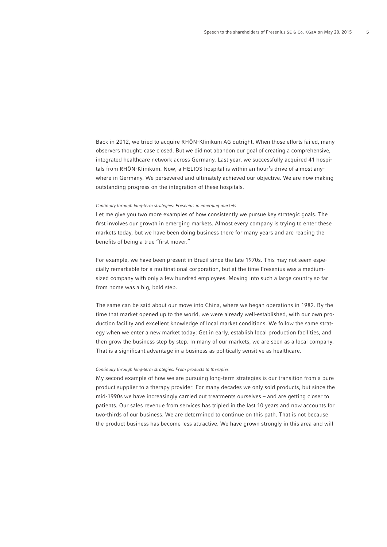Back in 2012, we tried to acquire RHÖN-Klinikum AG outright. When those efforts failed, many observers thought: case closed. But we did not abandon our goal of creating a comprehensive, integrated healthcare network across Germany. Last year, we successfully acquired 41 hospitals from RHÖN-Klinikum. Now, a HELIOS hospital is within an hour's drive of almost anywhere in Germany. We persevered and ultimately achieved our objective. We are now making outstanding progress on the integration of these hospitals.

# Continuity through long-term strategies: Fresenius in emerging markets

Let me give you two more examples of how consistently we pursue key strategic goals. The first involves our growth in emerging markets. Almost every company is trying to enter these markets today, but we have been doing business there for many years and are reaping the benefits of being a true "first mover."

For example, we have been present in Brazil since the late 1970s. This may not seem especially remarkable for a multinational corporation, but at the time Fresenius was a mediumsized company with only a few hundred employees. Moving into such a large country so far from home was a big, bold step.

The same can be said about our move into China, where we began operations in 1982. By the time that market opened up to the world, we were already well-established, with our own production facility and excellent knowledge of local market conditions. We follow the same strategy when we enter a new market today: Get in early, establish local production facilities, and then grow the business step by step. In many of our markets, we are seen as a local company. That is a significant advantage in a business as politically sensitive as healthcare.

## Continuity through long-term strategies: From products to therapies

My second example of how we are pursuing long-term strategies is our transition from a pure product supplier to a therapy provider. For many decades we only sold products, but since the mid-1990s we have increasingly carried out treatments ourselves – and are getting closer to patients. Our sales revenue from services has tripled in the last 10 years and now accounts for two-thirds of our business. We are determined to continue on this path. That is not because the product business has become less attractive. We have grown strongly in this area and will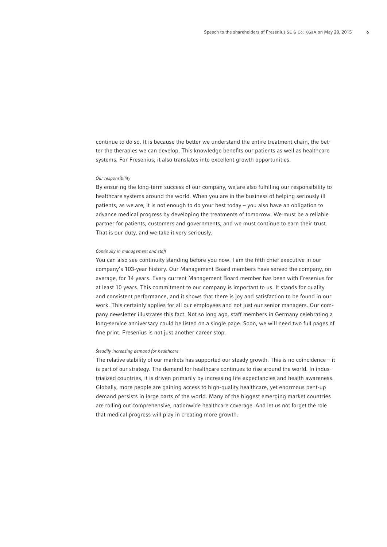continue to do so. It is because the better we understand the entire treatment chain, the better the therapies we can develop. This knowledge benefits our patients as well as healthcare systems. For Fresenius, it also translates into excellent growth opportunities.

## Our responsibility

By ensuring the long-term success of our company, we are also fulfilling our responsibility to healthcare systems around the world. When you are in the business of helping seriously ill patients, as we are, it is not enough to do your best today – you also have an obligation to advance medical progress by developing the treatments of tomorrow. We must be a reliable partner for patients, customers and governments, and we must continue to earn their trust. That is our duty, and we take it very seriously.

# Continuity in management and staff

You can also see continuity standing before you now. I am the fifth chief executive in our company's 103-year history. Our Management Board members have served the company, on average, for 14 years. Every current Management Board member has been with Fresenius for at least 10 years. This commitment to our company is important to us. It stands for quality and consistent performance, and it shows that there is joy and satisfaction to be found in our work. This certainly applies for all our employees and not just our senior managers. Our company newsletter illustrates this fact. Not so long ago, staff members in Germany celebrating a long-service anniversary could be listed on a single page. Soon, we will need two full pages of fine print. Fresenius is not just another career stop.

## Steadily increasing demand for healthcare

The relative stability of our markets has supported our steady growth. This is no coincidence – it is part of our strategy. The demand for healthcare continues to rise around the world. In industrialized countries, it is driven primarily by increasing life expectancies and health awareness. Globally, more people are gaining access to high-quality healthcare, yet enormous pent-up demand persists in large parts of the world. Many of the biggest emerging market countries are rolling out comprehensive, nationwide healthcare coverage. And let us not forget the role that medical progress will play in creating more growth.